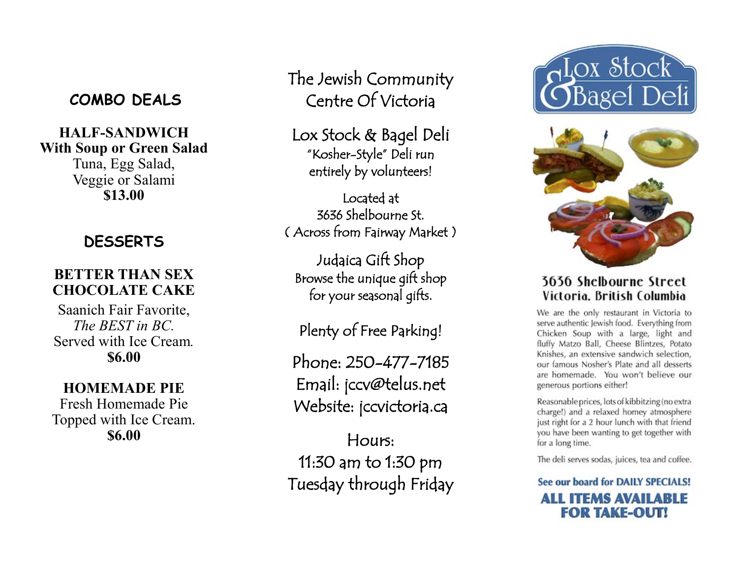### **COMBO DEALS**

## **HALF-SANDWICH With Soup or Green Salad**

Tuna, Egg Salad, Veggie or Salami **\$13.00**

## **DESSERTS**

#### **BETTER THAN SEX CHOCOLATE CAKE**

Saanich Fair Favorite, *The BEST in BC.* Served with Ice Cream*.* **\$6.00**

#### **HOMEMADE PIE**

Fresh Homemade Pie Topped with Ice Cream. **\$6.00**

The Jewish Community Centre Of Victoria

Lox Stock & Bagel Deli "Kosher-Style" Deli run entirely by volunteers!

Located at 3636 Shelbourne St. ( Across from Fairway Market )

Judaica Gift Shop Browse the unique gift shop for your seasonal gifts.

Plenty of Free Parking!

Phone: 250-477-7185 Email: jccv@telus.net Website: jccvictoria.ca

Hours: 11:30 am to 1:30 pm Tuesday through Friday





#### **3636 Shelbourne Street** Victoria. British Columbia

We are the only restaurant in Victoria to serve authentic Jewish food. Everything from Chicken Soup with a large, light and fluffy Matzo Ball, Cheese Blintzes, Potato Knishes, an extensive sandwich selection, our famous Nosher's Plate and all desserts are homemade. You won't believe our generous portions either!

Reasonable prices, lots of kibbitzing (no extra charge!) and a relaxed homey atmosphere just right for a 2 hour lunch with that friend you have been wanting to get together with for a long time.

The deli serves sodas, juices, tea and coffee.

See our board for DAILY SPECIALS! **ALL ITEMS AVAILABLE FOR TAKE-OUT!**